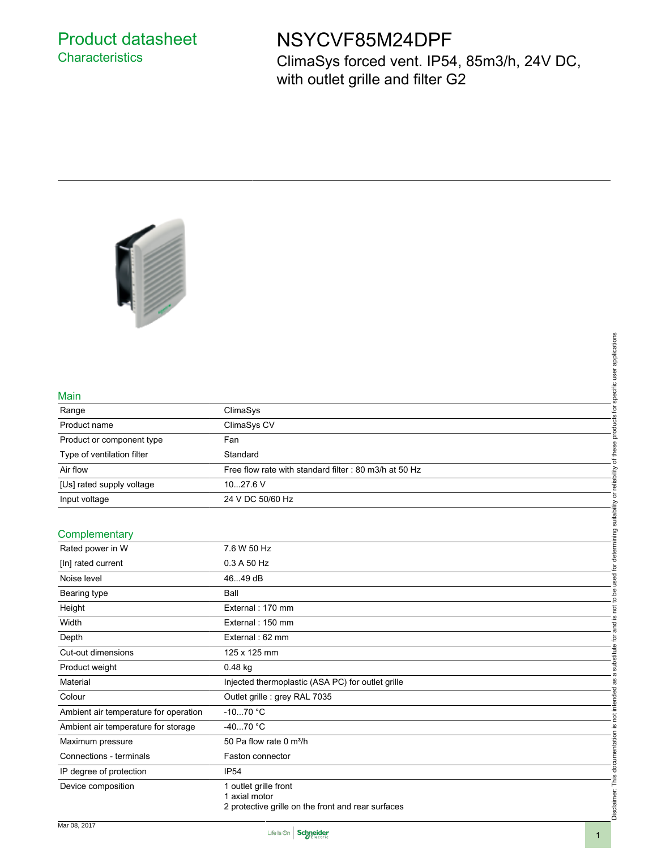## Product datasheet **Characteristics**

# NSYCVF85M24DPF

ClimaSys forced vent. IP54, 85m3/h, 24V DC, with outlet grille and filter G2



#### Main

| Range                      | ClimaSys                                               |
|----------------------------|--------------------------------------------------------|
| Product name               | ClimaSys CV                                            |
| Product or component type  | Fan                                                    |
| Type of ventilation filter | Standard                                               |
| Air flow                   | Free flow rate with standard filter : 80 m3/h at 50 Hz |
| [Us] rated supply voltage  | $1027.6$ V                                             |
| Input voltage              | 24 V DC 50/60 Hz                                       |
|                            |                                                        |

#### **Complementary**

| Main                                  |                                                                                              | products for specific user applications                      |
|---------------------------------------|----------------------------------------------------------------------------------------------|--------------------------------------------------------------|
| Range                                 | ClimaSys                                                                                     |                                                              |
| Product name                          | ClimaSys CV                                                                                  |                                                              |
| Product or component type             | Fan                                                                                          |                                                              |
| Type of ventilation filter            | Standard                                                                                     | of these                                                     |
| Air flow                              | Free flow rate with standard filter : 80 m3/h at 50 Hz                                       |                                                              |
| [Us] rated supply voltage             | 1027.6 V                                                                                     |                                                              |
| Input voltage                         | 24 V DC 50/60 Hz                                                                             |                                                              |
|                                       |                                                                                              |                                                              |
| Complementary                         |                                                                                              |                                                              |
| Rated power in W                      | 7.6 W 50 Hz                                                                                  |                                                              |
| [In] rated current                    | 0.3 A 50 Hz                                                                                  |                                                              |
| Noise level                           | 4649 dB                                                                                      |                                                              |
| Bearing type                          | Ball                                                                                         | is not to be used for determining suitability or reliability |
| Height                                | External: 170 mm                                                                             |                                                              |
| Width                                 | External: 150 mm                                                                             |                                                              |
| Depth                                 | External: 62 mm                                                                              | ene.                                                         |
| Cut-out dimensions                    | 125 x 125 mm                                                                                 |                                                              |
| Product weight                        | 0.48 kg                                                                                      | substitute for                                               |
| Material                              | Injected thermoplastic (ASA PC) for outlet grille                                            | $\varpi$                                                     |
| Colour                                | Outlet grille : grey RAL 7035                                                                | not intended as                                              |
| Ambient air temperature for operation | $-1070$ °C                                                                                   |                                                              |
| Ambient air temperature for storage   | $-4070 °C$                                                                                   | <u>ِي</u>                                                    |
| Maximum pressure                      | 50 Pa flow rate 0 m <sup>3</sup> /h                                                          |                                                              |
| Connections - terminals               | Faston connector                                                                             |                                                              |
| IP degree of protection               | <b>IP54</b>                                                                                  |                                                              |
| Device composition                    | 1 outlet grille front<br>1 axial motor<br>2 protective grille on the front and rear surfaces | Disclaimer: This documentation                               |